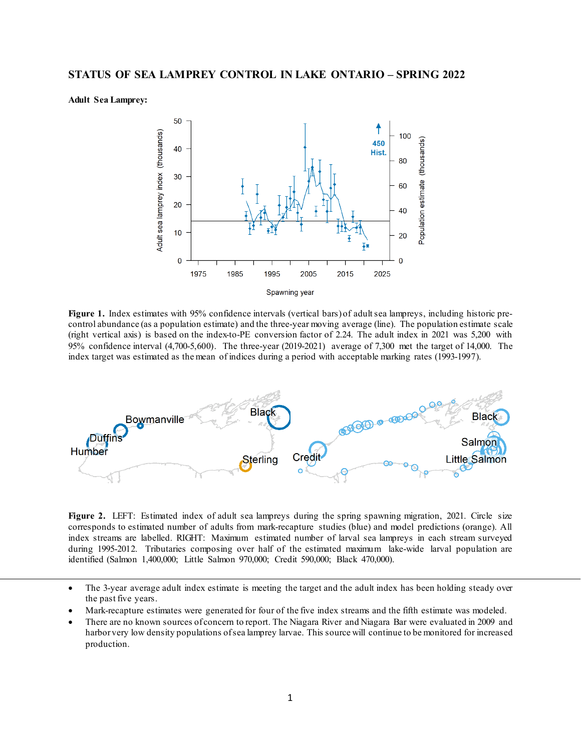**Adult Sea Lamprey:**



**Figure 1.** Index estimates with 95% confidence intervals (vertical bars) of adult sea lampreys, including historic precontrol abundance (as a population estimate) and the three-year moving average (line). The population estimate scale (right vertical axis) is based on the index-to-PE conversion factor of 2.24. The adult index in 2021 was 5,200 with 95% confidence interval (4,700-5,600). The three-year (2019-2021) average of 7,300 met the target of 14,000. The index target was estimated as the mean of indices during a period with acceptable marking rates (1993-1997).



Figure 2. LEFT: Estimated index of adult sea lampreys during the spring spawning migration, 2021. Circle size corresponds to estimated number of adults from mark-recapture studies (blue) and model predictions (orange). All index streams are labelled. RIGHT: Maximum estimated number of larval sea lampreys in each stream surveyed during 1995-2012. Tributaries composing over half of the estimated maximum lake-wide larval population are identified (Salmon 1,400,000; Little Salmon 970,000; Credit 590,000; Black 470,000).

- The 3-year average adult index estimate is meeting the target and the adult index has been holding steady over the past five years.
- Mark-recapture estimates were generated for four of the five index streams and the fifth estimate was modeled.
- There are no known sources of concern to report. The Niagara River and Niagara Bar were evaluated in 2009 and harbor very low density populations of sea lamprey larvae. This source will continue to be monitored for increased production.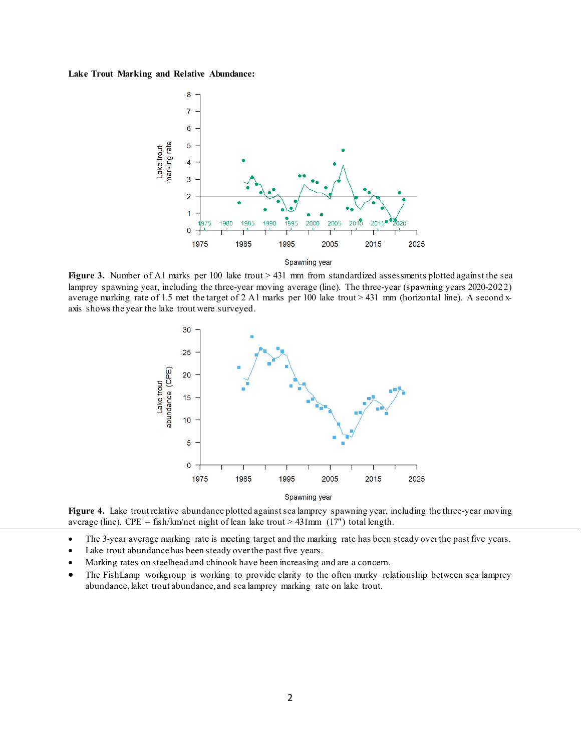## **Lake Trout Marking and Relative Abundance:**



**Figure 3.** Number of A1 marks per 100 lake trout > 431 mm from standardized assessments plotted against the sea lamprey spawning year, including the three-year moving average (line). The three-year (spawning years 2020-2022) average marking rate of 1.5 met the target of 2 A1 marks per 100 lake trout > 431 mm (horizontal line). A second xaxis shows the year the lake trout were surveyed.



**Figure 4.** Lake trout relative abundance plotted against sea lamprey spawning year, including the three-year moving average (line). CPE = fish/km/net night of lean lake trout > 431mm (17") total length.

- The 3-year average marking rate is meeting target and the marking rate has been steady over the past five years.
- Lake trout abundance has been steady over the past five years.
- Marking rates on steelhead and chinook have been increasing and are a concern.
- The FishLamp workgroup is working to provide clarity to the often murky relationship between sea lamprey abundance, laket trout abundance, and sea lamprey marking rate on lake trout.